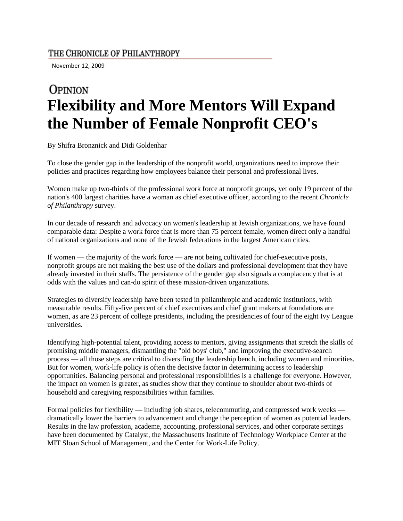## THE CHRONICLE OF PHILANTHROPY

November 12, 2009

## **OPINION Flexibility and More Mentors Will Expand the Number of Female Nonprofit CEO's**

By Shifra Bronznick and Didi Goldenhar

To close the gender gap in the leadership of the nonprofit world, organizations need to improve their policies and practices regarding how employees balance their personal and professional lives.

Women make up two-thirds of the professional work force at nonprofit groups, yet only 19 percent of the nation's 400 largest charities have a woman as chief executive officer, according to the recent *Chronicle of Philanthropy* survey.

In our decade of research and advocacy on women's leadership at Jewish organizations, we have found comparable data: Despite a work force that is more than 75 percent female, women direct only a handful of national organizations and none of the Jewish federations in the largest American cities.

If women — the majority of the work force — are not being cultivated for chief-executive posts, nonprofit groups are not making the best use of the dollars and professional development that they have already invested in their staffs. The persistence of the gender gap also signals a complacency that is at odds with the values and can-do spirit of these mission-driven organizations.

Strategies to diversify leadership have been tested in philanthropic and academic institutions, with measurable results. Fifty-five percent of chief executives and chief grant makers at foundations are women, as are 23 percent of college presidents, including the presidencies of four of the eight Ivy League universities.

Identifying high-potential talent, providing access to mentors, giving assignments that stretch the skills of promising middle managers, dismantling the "old boys' club," and improving the executive-search process — all those steps are critical to diversifing the leadership bench, including women and minorities. But for women, work-life policy is often the decisive factor in determining access to leadership opportunities. Balancing personal and professional responsibilities is a challenge for everyone. However, the impact on women is greater, as studies show that they continue to shoulder about two-thirds of household and caregiving responsibilities within families.

Formal policies for flexibility — including job shares, telecommuting, and compressed work weeks dramatically lower the barriers to advancement and change the perception of women as potential leaders. Results in the law profession, academe, accounting, professional services, and other corporate settings have been documented by Catalyst, the Massachusetts Institute of Technology Workplace Center at the MIT Sloan School of Management, and the Center for Work-Life Policy.